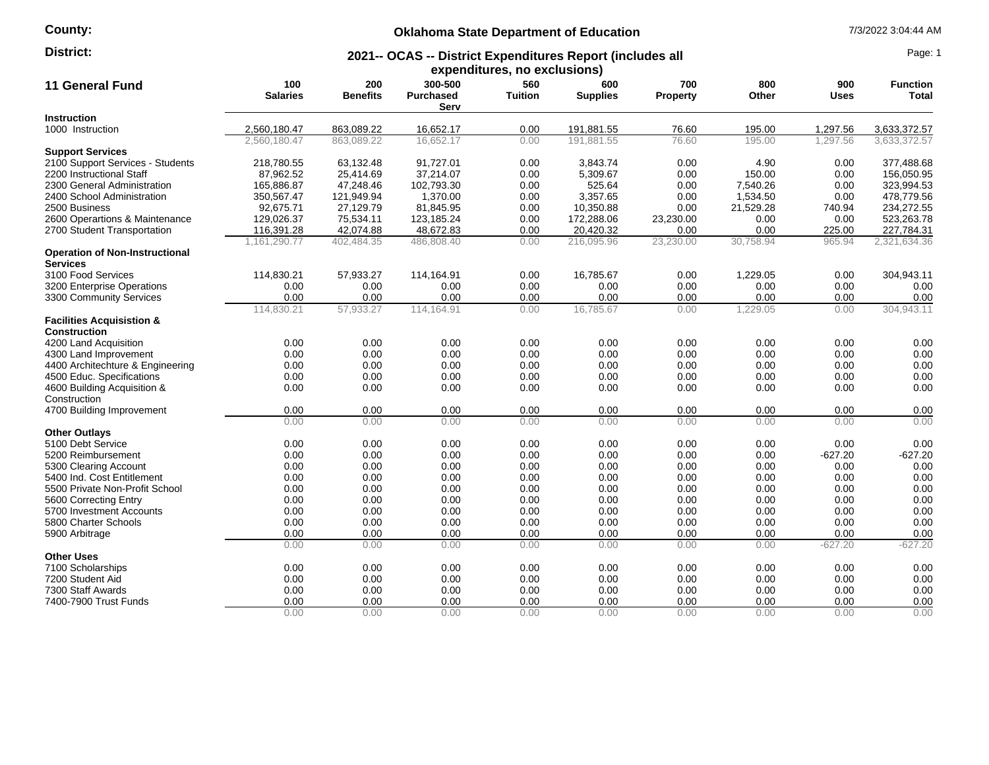### **County:**

### **Oklahoma State Department of Education** 7/3/2022 3:04:44 AM

#### **2021-- OCAS -- District Expenditures Report (includes all District:** Page: 1

| expenditures, no exclusions)                             |                        |                        |                                     |                       |                        |                        |              |                    |                          |
|----------------------------------------------------------|------------------------|------------------------|-------------------------------------|-----------------------|------------------------|------------------------|--------------|--------------------|--------------------------|
| <b>11 General Fund</b>                                   | 100<br><b>Salaries</b> | 200<br><b>Benefits</b> | 300-500<br><b>Purchased</b><br>Serv | 560<br><b>Tuition</b> | 600<br><b>Supplies</b> | 700<br><b>Property</b> | 800<br>Other | 900<br><b>Uses</b> | <b>Function</b><br>Total |
| Instruction                                              |                        |                        |                                     |                       |                        |                        |              |                    |                          |
| 1000 Instruction                                         | 2,560,180.47           | 863,089.22             | 16,652.17                           | 0.00                  | 191,881.55             | 76.60                  | 195.00       | 1,297.56           | 3,633,372.57             |
|                                                          | 2.560.180.47           | 863.089.22             | 16,652.17                           | 0.00                  | 191.881.55             | 76.60                  | 195.00       | 1.297.56           | 3.633.372.57             |
| <b>Support Services</b>                                  |                        |                        |                                     |                       |                        |                        |              |                    |                          |
| 2100 Support Services - Students                         | 218,780.55             | 63,132.48              | 91,727.01                           | 0.00                  | 3,843.74               | 0.00                   | 4.90         | 0.00               | 377.488.68               |
| 2200 Instructional Staff                                 | 87,962.52              | 25,414.69              | 37,214.07                           | 0.00                  | 5,309.67               | 0.00                   | 150.00       | 0.00               | 156,050.95               |
| 2300 General Administration                              | 165,886.87             | 47,248.46              | 102,793.30                          | 0.00                  | 525.64                 | 0.00                   | 7,540.26     | 0.00               | 323,994.53               |
| 2400 School Administration                               | 350,567.47             | 121,949.94             | 1,370.00                            | 0.00                  | 3,357.65               | 0.00                   | 1,534.50     | 0.00               | 478,779.56               |
| 2500 Business                                            | 92,675.71              | 27,129.79              | 81,845.95                           | 0.00                  | 10,350.88              | 0.00                   | 21,529.28    | 740.94             | 234,272.55               |
| 2600 Operartions & Maintenance                           | 129,026.37             | 75,534.11              | 123,185.24                          | 0.00                  | 172,288.06             | 23,230.00              | 0.00         | 0.00               | 523,263.78               |
| 2700 Student Transportation                              | 116,391.28             | 42,074.88              | 48,672.83                           | 0.00                  | 20,420.32              | 0.00                   | 0.00         | 225.00             | 227,784.31               |
|                                                          | 1,161,290.77           | 402,484.35             | 486,808.40                          | 0.00                  | 216,095.96             | 23,230.00              | 30,758.94    | 965.94             | 2,321,634.36             |
| <b>Operation of Non-Instructional</b><br><b>Services</b> |                        |                        |                                     |                       |                        |                        |              |                    |                          |
| 3100 Food Services                                       | 114,830.21             | 57,933.27              | 114,164.91                          | 0.00                  | 16,785.67              | 0.00                   | 1,229.05     | 0.00               | 304,943.11               |
| 3200 Enterprise Operations                               | 0.00                   | 0.00                   | 0.00                                | 0.00                  | 0.00                   | 0.00                   | 0.00         | 0.00               | 0.00                     |
| 3300 Community Services                                  | 0.00                   | 0.00                   | 0.00                                | 0.00                  | 0.00                   | 0.00                   | 0.00         | 0.00               | 0.00                     |
|                                                          | 114,830.21             | 57,933.27              | 114,164.91                          | 0.00                  | 16,785.67              | 0.00                   | 1,229.05     | 0.00               | 304,943.11               |
| <b>Facilities Acquisistion &amp;</b>                     |                        |                        |                                     |                       |                        |                        |              |                    |                          |
| <b>Construction</b>                                      |                        |                        |                                     |                       |                        |                        |              |                    |                          |
| 4200 Land Acquisition                                    | 0.00                   | 0.00                   | 0.00                                | 0.00                  | 0.00                   | 0.00                   | 0.00         | 0.00               | 0.00                     |
| 4300 Land Improvement                                    | 0.00                   | 0.00                   | 0.00                                | 0.00                  | 0.00                   | 0.00                   | 0.00         | 0.00               | 0.00                     |
| 4400 Architechture & Engineering                         | 0.00                   | 0.00                   | 0.00                                | 0.00                  | 0.00                   | 0.00                   | 0.00         | 0.00               | 0.00                     |
| 4500 Educ. Specifications                                | 0.00                   | 0.00                   | 0.00                                | 0.00                  | 0.00                   | 0.00                   | 0.00         | 0.00               | 0.00                     |
| 4600 Building Acquisition &                              | 0.00                   | 0.00                   | 0.00                                | 0.00                  | 0.00                   | 0.00                   | 0.00         | 0.00               | 0.00                     |
| Construction                                             |                        |                        |                                     |                       |                        |                        |              |                    |                          |
| 4700 Building Improvement                                | 0.00                   | 0.00                   | 0.00                                | 0.00                  | 0.00                   | 0.00                   | 0.00         | 0.00               | 0.00                     |
|                                                          | 0.00                   | 0.00                   | 0.00                                | 0.00                  | 0.00                   | 0.00                   | 0.00         | 0.00               | 0.00                     |
| <b>Other Outlays</b>                                     |                        |                        |                                     |                       |                        |                        |              |                    |                          |
| 5100 Debt Service                                        | 0.00                   | 0.00                   | 0.00                                | 0.00                  | 0.00                   | 0.00                   | 0.00         | 0.00               | 0.00                     |
| 5200 Reimbursement                                       | 0.00                   | 0.00                   | 0.00                                | 0.00                  | 0.00                   | 0.00                   | 0.00         | $-627.20$          | $-627.20$                |
| 5300 Clearing Account                                    | 0.00                   | 0.00                   | 0.00                                | 0.00                  | 0.00                   | 0.00                   | 0.00         | 0.00               | 0.00                     |
| 5400 Ind. Cost Entitlement                               | 0.00                   | 0.00                   | 0.00                                | 0.00                  | 0.00                   | 0.00                   | 0.00         | 0.00               | 0.00                     |
| 5500 Private Non-Profit School                           | 0.00                   | 0.00                   | 0.00                                | 0.00                  | 0.00                   | 0.00                   | 0.00         | 0.00               | 0.00                     |
| 5600 Correcting Entry                                    | 0.00                   | 0.00                   | 0.00                                | 0.00                  | 0.00                   | 0.00                   | 0.00         | 0.00               | 0.00                     |
| 5700 Investment Accounts                                 | 0.00                   | 0.00                   | 0.00                                | 0.00                  | 0.00                   | 0.00                   | 0.00         | 0.00               | 0.00                     |
| 5800 Charter Schools                                     | 0.00                   | 0.00                   | 0.00                                | 0.00                  | 0.00                   | 0.00                   | 0.00         | 0.00               | 0.00                     |
| 5900 Arbitrage                                           | 0.00                   | 0.00                   | 0.00                                | 0.00                  | 0.00                   | 0.00                   | 0.00         | 0.00               | 0.00                     |
|                                                          | 0.00                   | 0.00                   | 0.00                                | 0.00                  | 0.00                   | 0.00                   | 0.00         | $-627.20$          | $-627.20$                |
| <b>Other Uses</b>                                        |                        |                        |                                     |                       |                        |                        |              |                    |                          |
| 7100 Scholarships<br>7200 Student Aid                    | 0.00                   | 0.00                   | 0.00                                | 0.00                  | 0.00<br>0.00           | 0.00                   | 0.00         | 0.00<br>0.00       | 0.00                     |
| 7300 Staff Awards                                        | 0.00<br>0.00           | 0.00<br>0.00           | 0.00<br>0.00                        | 0.00<br>0.00          |                        | 0.00<br>0.00           | 0.00         | 0.00               | 0.00<br>0.00             |
| 7400-7900 Trust Funds                                    | 0.00                   | 0.00                   | 0.00                                | 0.00                  | 0.00<br>0.00           | 0.00                   | 0.00<br>0.00 | 0.00               | 0.00                     |
|                                                          | 0.00                   | 0.00                   | 0.00                                | 0.00                  | 0.00                   | 0.00                   | 0.00         | 0.00               | 0.00                     |
|                                                          |                        |                        |                                     |                       |                        |                        |              |                    |                          |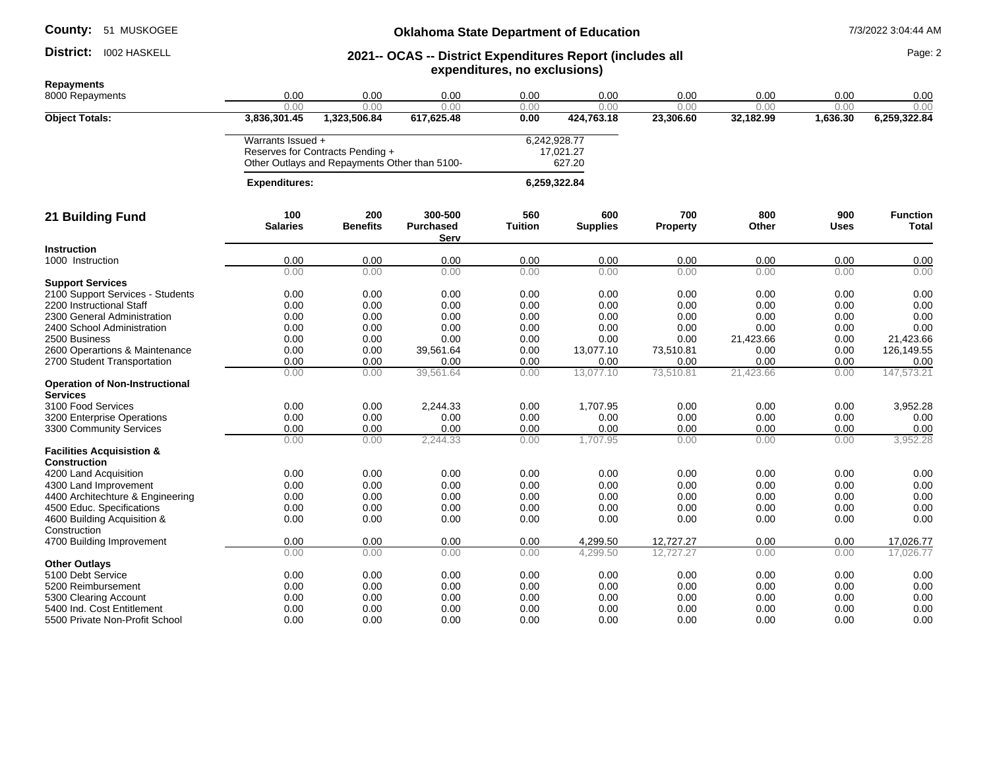#### District: I002 HASKELL

### **Oklahoma State Department of Education** 7/3/2022 3:04:44 AM

#### **2021-- OCAS -- District Expenditures Report (includes all expenditures, no exclusions) District:** 1002 HASKELL **1998** 2021 - 2021 - OCAS -- District Expenditures Report (includes all

| <b>Repayments</b>                                           |                      |                                               |                  |                |                 |           |           |             |                 |
|-------------------------------------------------------------|----------------------|-----------------------------------------------|------------------|----------------|-----------------|-----------|-----------|-------------|-----------------|
| 8000 Repayments                                             | 0.00                 | 0.00                                          | 0.00             | 0.00           | 0.00            | 0.00      | 0.00      | 0.00        | 0.00            |
|                                                             | 0.00                 | 0.00                                          | 0.00             | 0.00           | 0.00            | 0.00      | 0.00      | 0.00        | 0.00            |
| <b>Object Totals:</b>                                       | 3,836,301.45         | 1,323,506.84                                  | 617,625.48       | 0.00           | 424,763.18      | 23,306.60 | 32,182.99 | 1,636.30    | 6,259,322.84    |
|                                                             | Warrants Issued +    |                                               |                  |                | 6,242,928.77    |           |           |             |                 |
|                                                             |                      | Reserves for Contracts Pending +              |                  |                | 17,021.27       |           |           |             |                 |
|                                                             |                      | Other Outlays and Repayments Other than 5100- |                  |                | 627.20          |           |           |             |                 |
|                                                             | <b>Expenditures:</b> |                                               |                  |                | 6,259,322.84    |           |           |             |                 |
| 21 Building Fund                                            | 100                  | 200                                           | 300-500          | 560            | 600             | 700       | 800       | 900         | <b>Function</b> |
|                                                             | <b>Salaries</b>      | <b>Benefits</b>                               | <b>Purchased</b> | <b>Tuition</b> | <b>Supplies</b> | Property  | Other     | <b>Uses</b> | <b>Total</b>    |
| <b>Instruction</b>                                          |                      |                                               | Serv             |                |                 |           |           |             |                 |
| 1000 Instruction                                            | 0.00                 | 0.00                                          | 0.00             | 0.00           | 0.00            | 0.00      | 0.00      | 0.00        | 0.00            |
|                                                             | 0.00                 | 0.00                                          | 0.00             | 0.00           | 0.00            | 0.00      | 0.00      | 0.00        | 0.00            |
| <b>Support Services</b>                                     |                      |                                               |                  |                |                 |           |           |             |                 |
| 2100 Support Services - Students                            | 0.00                 | 0.00                                          | 0.00             | 0.00           | 0.00            | 0.00      | 0.00      | 0.00        | 0.00            |
| 2200 Instructional Staff                                    | 0.00                 | 0.00                                          | 0.00             | 0.00           | 0.00            | 0.00      | 0.00      | 0.00        | 0.00            |
| 2300 General Administration                                 | 0.00                 | 0.00                                          | 0.00             | 0.00           | 0.00            | 0.00      | 0.00      | 0.00        | 0.00            |
| 2400 School Administration                                  | 0.00                 | 0.00                                          | 0.00             | 0.00           | 0.00            | 0.00      | 0.00      | 0.00        | 0.00            |
| 2500 Business                                               | 0.00                 | 0.00                                          | 0.00             | 0.00           | 0.00            | 0.00      | 21,423.66 | 0.00        | 21,423.66       |
| 2600 Operartions & Maintenance                              | 0.00                 | 0.00                                          | 39,561.64        | 0.00           | 13,077.10       | 73,510.81 | 0.00      | 0.00        | 126,149.55      |
| 2700 Student Transportation                                 | 0.00                 | 0.00                                          | 0.00             | 0.00           | 0.00            | 0.00      | 0.00      | 0.00        | 0.00            |
|                                                             | 0.00                 | 0.00                                          | 39,561.64        | 0.00           | 13,077.10       | 73,510.81 | 21,423.66 | 0.00        | 147,573.21      |
| <b>Operation of Non-Instructional</b><br><b>Services</b>    |                      |                                               |                  |                |                 |           |           |             |                 |
| 3100 Food Services                                          | 0.00                 | 0.00                                          | 2,244.33         | 0.00           | 1,707.95        | 0.00      | 0.00      | 0.00        | 3,952.28        |
| 3200 Enterprise Operations                                  | 0.00                 | 0.00                                          | 0.00             | 0.00           | 0.00            | 0.00      | 0.00      | 0.00        | 0.00            |
| 3300 Community Services                                     | 0.00                 | 0.00                                          | 0.00             | 0.00           | 0.00            | 0.00      | 0.00      | 0.00        | 0.00            |
|                                                             | 0.00                 | 0.00                                          | 2,244.33         | 0.00           | 1,707.95        | 0.00      | 0.00      | 0.00        | 3,952.28        |
| <b>Facilities Acquisistion &amp;</b><br><b>Construction</b> |                      |                                               |                  |                |                 |           |           |             |                 |
| 4200 Land Acquisition                                       | 0.00                 | 0.00                                          | 0.00             | 0.00           | 0.00            | 0.00      | 0.00      | 0.00        | 0.00            |
| 4300 Land Improvement                                       | 0.00                 | 0.00                                          | 0.00             | 0.00           | 0.00            | 0.00      | 0.00      | 0.00        | 0.00            |
| 4400 Architechture & Engineering                            | 0.00                 | 0.00                                          | 0.00             | 0.00           | 0.00            | 0.00      | 0.00      | 0.00        | 0.00            |
| 4500 Educ. Specifications                                   | 0.00                 | 0.00                                          | 0.00             | 0.00           | 0.00            | 0.00      | 0.00      | 0.00        | 0.00            |
| 4600 Building Acquisition &                                 | 0.00                 | 0.00                                          | 0.00             | 0.00           | 0.00            | 0.00      | 0.00      | 0.00        | 0.00            |
| Construction                                                |                      |                                               |                  |                |                 |           |           |             |                 |
| 4700 Building Improvement                                   | 0.00                 | 0.00                                          | 0.00             | 0.00           | 4,299.50        | 12,727.27 | 0.00      | 0.00        | 17,026.77       |
|                                                             | 0.00                 | 0.00                                          | 0.00             | 0.00           | 4,299.50        | 12,727.27 | 0.00      | 0.00        | 17,026.77       |
| <b>Other Outlays</b>                                        |                      |                                               |                  |                |                 |           |           |             |                 |
| 5100 Debt Service                                           | 0.00                 | 0.00                                          | 0.00             | 0.00           | 0.00            | 0.00      | 0.00      | 0.00        | 0.00            |
| 5200 Reimbursement                                          | 0.00                 | 0.00                                          | 0.00             | 0.00           | 0.00            | 0.00      | 0.00      | 0.00        | 0.00            |
| 5300 Clearing Account                                       | 0.00                 | 0.00                                          | 0.00             | 0.00           | 0.00            | 0.00      | 0.00      | 0.00        | 0.00            |
| 5400 Ind. Cost Entitlement                                  | 0.00                 | 0.00                                          | 0.00             | 0.00           | 0.00            | 0.00      | 0.00      | 0.00        | 0.00            |
| 5500 Private Non-Profit School                              | 0.00                 | 0.00                                          | 0.00             | 0.00           | 0.00            | 0.00      | 0.00      | 0.00        | 0.00            |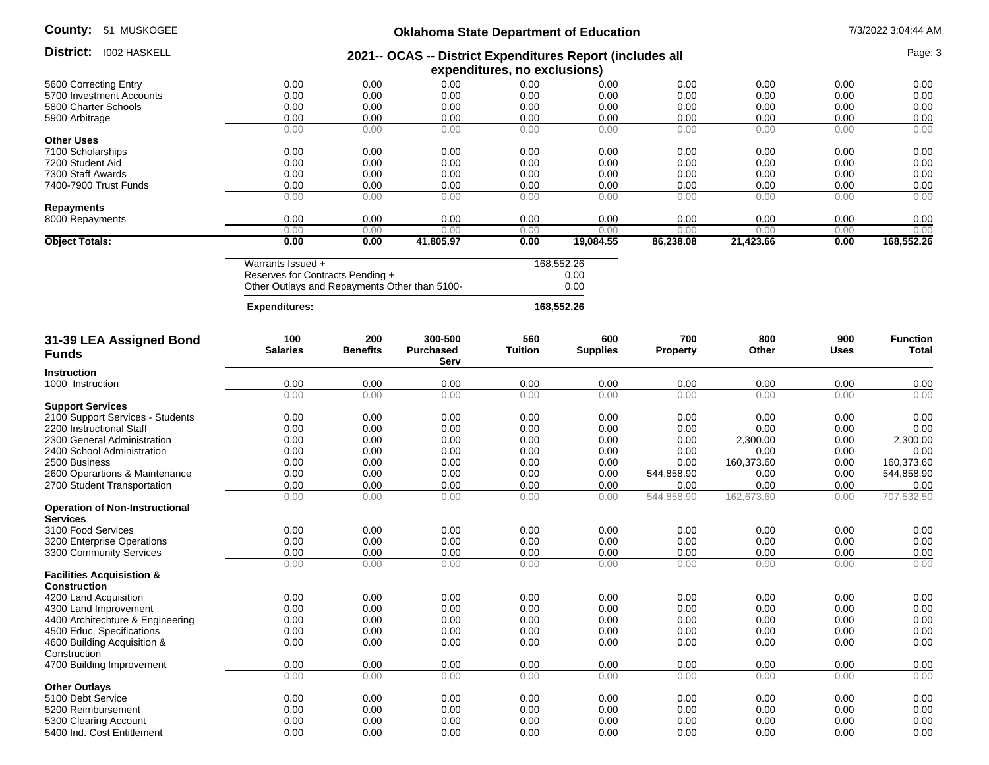| County: |  | 51 MUSKOGEE |
|---------|--|-------------|
|---------|--|-------------|

## **Oklahoma State Department of Education** 7/3/2022 3:04:44 AM

| oounty.<br><b>31 IVIUSNUULE</b>                           | Oklahoma State Department of Education                                                    |                 |                          |                |                 |                 |                  |              | 773/2022 3.04.44 AM |
|-----------------------------------------------------------|-------------------------------------------------------------------------------------------|-----------------|--------------------------|----------------|-----------------|-----------------|------------------|--------------|---------------------|
| District:<br><b>1002 HASKELL</b>                          | 2021-- OCAS -- District Expenditures Report (includes all<br>expenditures, no exclusions) |                 |                          |                |                 |                 |                  |              | Page: 3             |
|                                                           |                                                                                           |                 |                          |                |                 |                 |                  |              |                     |
| 5600 Correcting Entry                                     | 0.00                                                                                      | 0.00            | 0.00                     | 0.00           | 0.00            | 0.00            | 0.00             | 0.00         | 0.00                |
| 5700 Investment Accounts                                  | 0.00                                                                                      | 0.00            | 0.00                     | 0.00           | 0.00            | 0.00            | 0.00             | 0.00         | 0.00                |
| 5800 Charter Schools                                      | 0.00                                                                                      | 0.00            | 0.00                     | 0.00           | 0.00            | 0.00            | 0.00             | 0.00         | 0.00                |
| 5900 Arbitrage                                            | 0.00                                                                                      | 0.00            | 0.00                     | 0.00           | 0.00            | 0.00            | 0.00             | 0.00         | 0.00                |
|                                                           | 0.00                                                                                      | 0.00            | 0.00                     | 0.00           | 0.00            | 0.00            | 0.00             | 0.00         | 0.00                |
| <b>Other Uses</b>                                         |                                                                                           |                 |                          |                |                 |                 |                  |              |                     |
| 7100 Scholarships                                         | 0.00                                                                                      | 0.00            | 0.00                     | 0.00           | 0.00            | 0.00            | 0.00             | 0.00         | 0.00                |
| 7200 Student Aid                                          | 0.00                                                                                      | 0.00            | 0.00                     | 0.00           | 0.00            | 0.00            | 0.00             | 0.00         | 0.00                |
| 7300 Staff Awards                                         | 0.00                                                                                      | 0.00            | 0.00                     | 0.00           | 0.00            | 0.00            | 0.00             | 0.00         | 0.00                |
| 7400-7900 Trust Funds                                     | 0.00                                                                                      | 0.00            | 0.00                     | 0.00           | 0.00            | 0.00            | 0.00             | 0.00         | 0.00                |
| <b>Repayments</b>                                         | 0.00                                                                                      | 0.00            | 0.00                     | 0.00           | 0.00            | 0.00            | 0.00             | 0.00         | 0.00                |
| 8000 Repayments                                           | 0.00                                                                                      | 0.00            | 0.00                     | 0.00           | 0.00            | 0.00            | 0.00             | 0.00         | 0.00                |
|                                                           | 0.00                                                                                      | 0.00            | 0.00                     | 0.00           | 0.00            | 0.00            | 0.00             | 0.00         | 0.00                |
| <b>Object Totals:</b>                                     | 0.00                                                                                      | 0.00            | 41,805.97                | 0.00           | 19,084.55       | 86,238.08       | 21,423.66        | 0.00         | 168,552.26          |
|                                                           | Warrants Issued +                                                                         |                 |                          |                | 168,552.26      |                 |                  |              |                     |
|                                                           | Reserves for Contracts Pending +                                                          |                 |                          |                | 0.00            |                 |                  |              |                     |
|                                                           | Other Outlays and Repayments Other than 5100-                                             |                 |                          |                | 0.00            |                 |                  |              |                     |
|                                                           | <b>Expenditures:</b>                                                                      |                 |                          | 168,552.26     |                 |                 |                  |              |                     |
| 31-39 LEA Assigned Bond                                   | 100                                                                                       | 200             | 300-500                  | 560            | 600             | 700             | 800              | 900          | <b>Function</b>     |
| <b>Funds</b>                                              | <b>Salaries</b>                                                                           | <b>Benefits</b> | <b>Purchased</b><br>Serv | <b>Tuition</b> | <b>Supplies</b> | <b>Property</b> | Other            | <b>Uses</b>  | Total               |
| <b>Instruction</b>                                        |                                                                                           |                 |                          |                |                 |                 |                  |              |                     |
| 1000 Instruction                                          | 0.00                                                                                      | 0.00            | 0.00                     | 0.00           | 0.00            | 0.00            | 0.00             | 0.00         | 0.00                |
|                                                           | 0.00                                                                                      | 0.00            | 0.00                     | 0.00           | 0.00            | 0.00            | 0.00             | 0.00         | 0.00                |
| <b>Support Services</b>                                   |                                                                                           |                 |                          |                |                 |                 |                  |              |                     |
| 2100 Support Services - Students                          | 0.00                                                                                      | 0.00            | 0.00                     | 0.00           | 0.00            | 0.00            | 0.00             | 0.00         | 0.00                |
| 2200 Instructional Staff                                  | 0.00                                                                                      | 0.00            | 0.00                     | 0.00           | 0.00            | 0.00            | 0.00             | 0.00         | 0.00<br>2,300.00    |
| 2300 General Administration<br>2400 School Administration | 0.00<br>0.00                                                                              | 0.00<br>0.00    | 0.00<br>0.00             | 0.00<br>0.00   | 0.00<br>0.00    | 0.00<br>0.00    | 2,300.00<br>0.00 | 0.00<br>0.00 | 0.00                |
| 2500 Business                                             | 0.00                                                                                      | 0.00            | 0.00                     | 0.00           | 0.00            | 0.00            | 160,373.60       | 0.00         | 160,373.60          |
| 2600 Operartions & Maintenance                            | 0.00                                                                                      | 0.00            | 0.00                     | 0.00           | 0.00            | 544,858.90      | 0.00             | 0.00         | 544,858.90          |
| 2700 Student Transportation                               | 0.00                                                                                      | 0.00            | 0.00                     | 0.00           | 0.00            | 0.00            | 0.00             | 0.00         | 0.00                |
|                                                           | 0.00                                                                                      | 0.00            | 0.00                     | 0.00           | 0.00            | 544,858.90      | 162,673.60       | 0.00         | 707,532.50          |
| <b>Operation of Non-Instructional</b>                     |                                                                                           |                 |                          |                |                 |                 |                  |              |                     |
| <b>Services</b>                                           |                                                                                           |                 |                          |                |                 |                 |                  |              |                     |
| 3100 Food Services                                        | 0.00                                                                                      | 0.00            | 0.00                     | 0.00           | 0.00            | 0.00            | 0.00             | 0.00         | 0.00                |
| 3200 Enterprise Operations                                | 0.00                                                                                      | 0.00            | 0.00                     | 0.00           | 0.00            | 0.00            | 0.00             | 0.00         | 0.00                |
| 3300 Community Services                                   | 0.00<br>0.00                                                                              | 0.00<br>0.00    | 0.00<br>0.00             | 0.00<br>0.00   | 0.00<br>0.00    | 0.00<br>0.00    | 0.00<br>0.00     | 0.00<br>0.00 | 0.00<br>0.00        |
| <b>Facilities Acquisistion &amp;</b>                      |                                                                                           |                 |                          |                |                 |                 |                  |              |                     |
| <b>Construction</b>                                       |                                                                                           |                 |                          |                |                 |                 |                  |              |                     |
| 4200 Land Acquisition                                     | 0.00                                                                                      | 0.00            | 0.00                     | 0.00           | 0.00            | 0.00            | 0.00             | 0.00         | 0.00                |
| 4300 Land Improvement                                     | 0.00                                                                                      | 0.00            | 0.00                     | 0.00           | 0.00            | 0.00            | 0.00             | 0.00         | 0.00                |
| 4400 Architechture & Engineering                          | 0.00                                                                                      | 0.00            | 0.00                     | 0.00           | 0.00            | 0.00            | 0.00             | 0.00         | 0.00                |
| 4500 Educ. Specifications                                 | 0.00                                                                                      | 0.00            | 0.00                     | 0.00           | 0.00            | 0.00            | 0.00             | 0.00         | 0.00                |
| 4600 Building Acquisition &                               | 0.00                                                                                      | 0.00            | 0.00                     | 0.00           | 0.00            | 0.00            | 0.00             | 0.00         | 0.00                |
| Construction                                              |                                                                                           |                 |                          |                |                 |                 |                  |              |                     |
| 4700 Building Improvement                                 | 0.00                                                                                      | 0.00            | 0.00                     | 0.00           | 0.00            | 0.00            | 0.00             | 0.00         | 0.00                |
|                                                           | 0.00                                                                                      | 0.00            | 0.00                     | 0.00           | 0.00            | 0.00            | 0.00             | 0.00         | 0.00                |
| <b>Other Outlays</b>                                      |                                                                                           |                 |                          |                |                 |                 |                  |              |                     |
| 5100 Debt Service                                         | 0.00<br>0.00                                                                              | 0.00            | 0.00                     | 0.00           | 0.00            | 0.00            | 0.00             | 0.00         | 0.00                |
| 5200 Reimbursement<br>5300 Clearing Account               | 0.00                                                                                      | 0.00<br>0.00    | 0.00<br>0.00             | 0.00<br>0.00   | 0.00<br>0.00    | 0.00<br>0.00    | 0.00<br>0.00     | 0.00<br>0.00 | 0.00<br>0.00        |
| 5400 Ind. Cost Entitlement                                | 0.00                                                                                      | 0.00            | 0.00                     | 0.00           | 0.00            | 0.00            | 0.00             | 0.00         | 0.00                |
|                                                           |                                                                                           |                 |                          |                |                 |                 |                  |              |                     |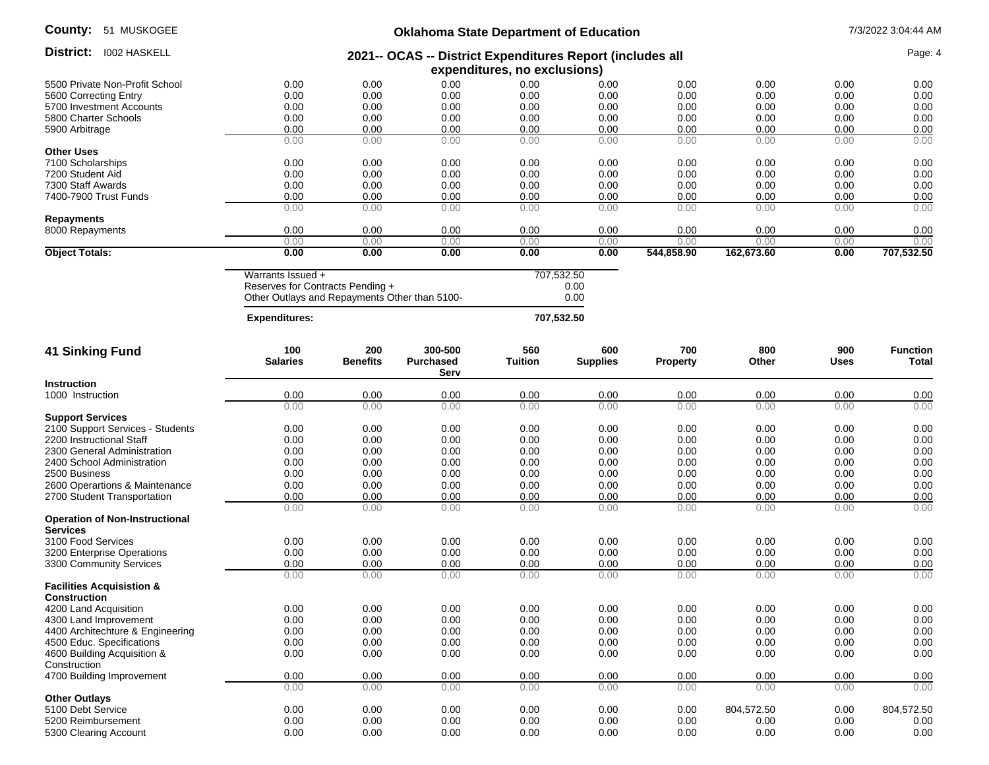| County:<br>51 MUSKOGEE                                   | <b>Oklahoma State Department of Education</b>                                                          |                        |                                     |                       |                            |                        |              | 7/3/2022 3:04:44 AM<br>Page: 4 |                          |  |
|----------------------------------------------------------|--------------------------------------------------------------------------------------------------------|------------------------|-------------------------------------|-----------------------|----------------------------|------------------------|--------------|--------------------------------|--------------------------|--|
| District:<br><b>I002 HASKELL</b>                         | 2021-- OCAS -- District Expenditures Report (includes all<br>expenditures, no exclusions)              |                        |                                     |                       |                            |                        |              |                                |                          |  |
| 5500 Private Non-Profit School                           | 0.00                                                                                                   | 0.00                   | 0.00                                | 0.00                  | 0.00                       | 0.00                   | 0.00         | 0.00                           | 0.00                     |  |
| 5600 Correcting Entry                                    | 0.00                                                                                                   | 0.00                   | 0.00                                | 0.00                  | 0.00                       | 0.00                   | 0.00         | 0.00                           | 0.00                     |  |
| 5700 Investment Accounts                                 | 0.00                                                                                                   | 0.00                   | 0.00                                | 0.00                  | 0.00                       | 0.00                   | 0.00         | 0.00                           | 0.00                     |  |
| 5800 Charter Schools                                     | 0.00                                                                                                   | 0.00                   | 0.00                                | 0.00                  | 0.00                       | 0.00                   | 0.00         | 0.00                           | 0.00                     |  |
| 5900 Arbitrage                                           | 0.00                                                                                                   | 0.00                   | 0.00                                | 0.00                  | 0.00                       | 0.00                   | 0.00         | 0.00                           | 0.00                     |  |
|                                                          | 0.00                                                                                                   | 0.00                   | 0.00                                | 0.00                  | 0.00                       | 0.00                   | 0.00         | 0.00                           | 0.00                     |  |
| <b>Other Uses</b>                                        |                                                                                                        |                        |                                     |                       |                            |                        |              |                                |                          |  |
| 7100 Scholarships                                        | 0.00                                                                                                   | 0.00                   | 0.00                                | 0.00                  | 0.00                       | 0.00                   | 0.00         | 0.00                           | 0.00                     |  |
| 7200 Student Aid                                         | 0.00                                                                                                   | 0.00                   | 0.00                                | 0.00                  | 0.00                       | 0.00                   | 0.00         | 0.00                           | 0.00                     |  |
| 7300 Staff Awards                                        | 0.00                                                                                                   | 0.00                   | 0.00                                | 0.00                  | 0.00                       | 0.00                   | 0.00         | 0.00                           | 0.00                     |  |
| 7400-7900 Trust Funds                                    | 0.00                                                                                                   | 0.00                   | 0.00                                | 0.00                  | 0.00                       | 0.00                   | 0.00         | 0.00                           | 0.00                     |  |
|                                                          | 0.00                                                                                                   | 0.00                   | 0.00                                | 0.00                  | 0.00                       | 0.00                   | 0.00         | 0.00                           | 0.00                     |  |
| <b>Repayments</b>                                        |                                                                                                        |                        |                                     |                       |                            |                        |              |                                |                          |  |
| 8000 Repayments                                          | 0.00                                                                                                   | 0.00                   | 0.00                                | 0.00                  | 0.00                       | 0.00                   | 0.00         | 0.00                           | 0.00                     |  |
|                                                          | 0.00                                                                                                   | 0.00                   | 0.00                                | 0.00                  | 0.00                       | 0.00                   | 0.00         | 0.00                           | 0.00                     |  |
| <b>Object Totals:</b>                                    | 0.00                                                                                                   | 0.00                   | 0.00                                | 0.00                  | 0.00                       | 544,858.90             | 162,673.60   | 0.00                           | 707,532.50               |  |
|                                                          | Warrants Issued +<br>Reserves for Contracts Pending +<br>Other Outlays and Repayments Other than 5100- |                        |                                     |                       | 707,532.50<br>0.00<br>0.00 |                        |              |                                |                          |  |
|                                                          | <b>Expenditures:</b>                                                                                   |                        |                                     |                       | 707,532.50                 |                        |              |                                |                          |  |
| <b>41 Sinking Fund</b>                                   | 100<br><b>Salaries</b>                                                                                 | 200<br><b>Benefits</b> | 300-500<br><b>Purchased</b><br>Serv | 560<br><b>Tuition</b> | 600<br><b>Supplies</b>     | 700<br><b>Property</b> | 800<br>Other | 900<br><b>Uses</b>             | <b>Function</b><br>Total |  |
| <b>Instruction</b>                                       |                                                                                                        |                        |                                     |                       |                            |                        |              |                                |                          |  |
| 1000 Instruction                                         | 0.00                                                                                                   | 0.00                   | 0.00                                | 0.00                  | 0.00                       | 0.00                   | 0.00         | 0.00                           | 0.00                     |  |
|                                                          | 0.00                                                                                                   | 0.00                   | 0.00                                | 0.00                  | 0.00                       | 0.00                   | 0.00         | 0.00                           | 0.00                     |  |
| <b>Support Services</b>                                  |                                                                                                        |                        |                                     |                       |                            |                        |              |                                |                          |  |
| 2100 Support Services - Students                         | 0.00                                                                                                   | 0.00                   | 0.00                                | 0.00                  | 0.00                       | 0.00                   | 0.00         | 0.00                           | 0.00                     |  |
| 2200 Instructional Staff                                 | 0.00                                                                                                   | 0.00                   | 0.00                                | 0.00                  | 0.00                       | 0.00                   | 0.00         | 0.00                           | 0.00                     |  |
| 2300 General Administration                              | 0.00                                                                                                   | 0.00                   | 0.00                                | 0.00                  | 0.00                       | 0.00                   | 0.00         | 0.00                           | 0.00                     |  |
| 2400 School Administration                               | 0.00                                                                                                   | 0.00                   | 0.00                                | 0.00                  | 0.00                       | 0.00                   | 0.00         | 0.00                           | 0.00                     |  |
| 2500 Business                                            | 0.00                                                                                                   | 0.00                   | 0.00                                | 0.00                  | 0.00                       | 0.00                   | 0.00         | 0.00                           | 0.00                     |  |
| 2600 Operartions & Maintenance                           | 0.00                                                                                                   | 0.00                   | 0.00                                | 0.00                  | 0.00                       | 0.00                   | 0.00         | 0.00                           | 0.00                     |  |
| 2700 Student Transportation                              | 0.00                                                                                                   | 0.00                   | 0.00                                | 0.00                  | 0.00                       | 0.00                   | 0.00         | 0.00                           | 0.00                     |  |
| <b>Operation of Non-Instructional</b><br><b>Services</b> | 0.00                                                                                                   | 0.00                   | 0.00                                | 0.00                  | 0.00                       | 0.00                   | 0.00         | 0.00                           | 0.00                     |  |
| 3100 Food Services                                       | 0.00                                                                                                   | 0.00                   | 0.00                                | 0.00                  | 0.00                       | 0.00                   | 0.00         | 0.00                           | 0.00                     |  |
| 3200 Enterprise Operations                               | 0.00                                                                                                   | 0.00                   | 0.00                                | 0.00                  | 0.00                       | 0.00                   | 0.00         | 0.00                           | 0.00                     |  |
| 3300 Community Services                                  | 0.00                                                                                                   | 0.00                   | 0.00                                | 0.00                  | 0.00                       | 0.00                   | 0.00         | 0.00                           | 0.00                     |  |
| <b>Facilities Acquisistion &amp;</b>                     | 0.00                                                                                                   | 0.00                   | 0.00                                | 0.00                  | 0.00                       | 0.00                   | 0.00         | 0.00                           | 0.00                     |  |
| <b>Construction</b><br>4200 Land Acquisition             | 0.00                                                                                                   | 0.00                   | 0.00                                | 0.00                  | 0.00                       | 0.00                   | 0.00         | 0.00                           | 0.00                     |  |
| 4300 Land Improvement                                    | 0.00                                                                                                   | 0.00                   | 0.00                                | 0.00                  | 0.00                       | 0.00                   | 0.00         | 0.00                           | 0.00                     |  |
| 4400 Architechture & Engineering                         | 0.00                                                                                                   | 0.00                   | 0.00                                | 0.00                  | 0.00                       | 0.00                   | 0.00         | 0.00                           | 0.00                     |  |
| 4500 Educ. Specifications                                | 0.00                                                                                                   | 0.00                   | 0.00                                | 0.00                  | 0.00                       | 0.00                   | 0.00         | 0.00                           | 0.00                     |  |
| 4600 Building Acquisition &                              | 0.00                                                                                                   | 0.00                   | 0.00                                | 0.00                  | 0.00                       | 0.00                   | 0.00         | 0.00                           | 0.00                     |  |
| Construction                                             |                                                                                                        |                        |                                     |                       |                            |                        |              |                                |                          |  |
| 4700 Building Improvement                                | 0.00                                                                                                   | 0.00                   | 0.00                                | 0.00                  | 0.00                       | 0.00                   | 0.00         | 0.00                           | 0.00                     |  |
|                                                          | 0.00                                                                                                   | 0.00                   | 0.00                                | 0.00                  | 0.00                       | 0.00                   | 0.00         | 0.00                           | 0.00                     |  |
| <b>Other Outlavs</b>                                     |                                                                                                        |                        |                                     |                       |                            |                        |              |                                |                          |  |
| 5100 Debt Service                                        | 0.00                                                                                                   | 0.00                   | 0.00                                | 0.00                  | 0.00                       | 0.00                   | 804,572.50   | 0.00                           | 804,572.50               |  |
| 5200 Reimbursement                                       | 0.00                                                                                                   | 0.00                   | 0.00                                | 0.00                  | 0.00                       | 0.00                   | 0.00         | 0.00                           | 0.00                     |  |

5300 Clearing Account 0.00 0.00 0.00 0.00 0.00 0.00 0.00 0.00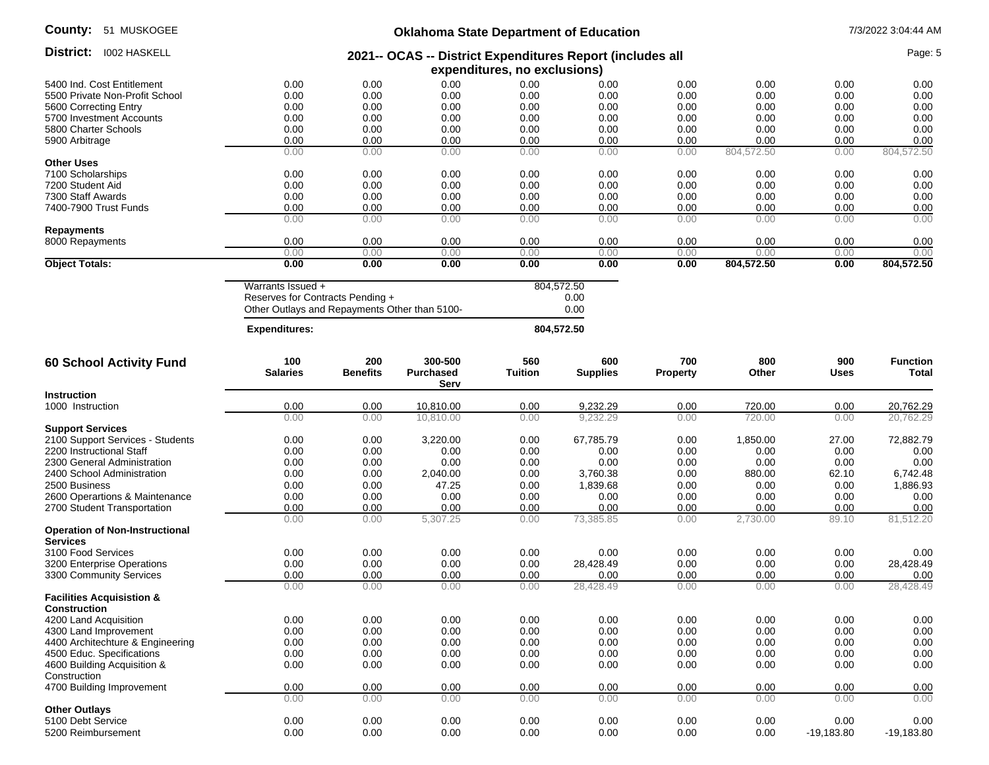| <b>County:</b><br>51 MUSKOGEE                        | <b>Oklahoma State Department of Education</b>                                                          |                        |                              |                            |                        |                        |              |              | 7/3/2022 3:04:44 AM      |  |  |
|------------------------------------------------------|--------------------------------------------------------------------------------------------------------|------------------------|------------------------------|----------------------------|------------------------|------------------------|--------------|--------------|--------------------------|--|--|
| District: 1002 HASKELL                               | 2021-- OCAS -- District Expenditures Report (includes all<br>expenditures, no exclusions)              |                        |                              |                            |                        |                        |              | Page: 5      |                          |  |  |
| 5400 Ind. Cost Entitlement                           | 0.00                                                                                                   | 0.00                   | 0.00                         | 0.00                       | 0.00                   | 0.00                   | 0.00         | 0.00         | 0.00                     |  |  |
|                                                      |                                                                                                        |                        |                              |                            |                        |                        |              |              |                          |  |  |
| 5500 Private Non-Profit School                       | 0.00                                                                                                   | 0.00                   | 0.00                         | 0.00                       | 0.00                   | 0.00                   | 0.00         | 0.00         | 0.00                     |  |  |
| 5600 Correcting Entry                                | 0.00                                                                                                   | 0.00                   | 0.00                         | 0.00                       | 0.00                   | 0.00                   | 0.00         | 0.00         | 0.00                     |  |  |
| 5700 Investment Accounts                             | 0.00                                                                                                   | 0.00                   | 0.00                         | 0.00                       | 0.00                   | 0.00                   | 0.00         | 0.00         | 0.00                     |  |  |
| 5800 Charter Schools                                 | 0.00                                                                                                   | 0.00                   | 0.00                         | 0.00                       | 0.00                   | 0.00                   | 0.00         | 0.00         | 0.00                     |  |  |
| 5900 Arbitrage                                       | 0.00                                                                                                   | 0.00                   | 0.00                         | 0.00                       | 0.00                   | 0.00                   | 0.00         | 0.00         | 0.00                     |  |  |
|                                                      | 0.00                                                                                                   | 0.00                   | 0.00                         | 0.00                       | 0.00                   | 0.00                   | 804,572.50   | 0.00         | 804,572.50               |  |  |
| Other Uses                                           |                                                                                                        |                        |                              |                            |                        |                        |              |              |                          |  |  |
| 7100 Scholarships                                    | 0.00                                                                                                   | 0.00                   | 0.00                         | 0.00                       | 0.00                   | 0.00                   | 0.00         | 0.00         |                          |  |  |
|                                                      |                                                                                                        |                        |                              |                            |                        |                        |              |              | 0.00                     |  |  |
| 7200 Student Aid                                     | 0.00                                                                                                   | 0.00                   | 0.00                         | 0.00                       | 0.00                   | 0.00                   | 0.00         | 0.00         | 0.00                     |  |  |
| 7300 Staff Awards                                    | 0.00                                                                                                   | 0.00                   | 0.00                         | 0.00                       | 0.00                   | 0.00                   | 0.00         | 0.00         | 0.00                     |  |  |
| 7400-7900 Trust Funds                                | 0.00                                                                                                   | 0.00                   | 0.00                         | 0.00                       | 0.00                   | 0.00                   | 0.00         | 0.00         | 0.00                     |  |  |
|                                                      | 0.00                                                                                                   | 0.00                   | 0.00                         | 0.00                       | 0.00                   | 0.00                   | 0.00         | 0.00         | 0.00                     |  |  |
| Repayments                                           |                                                                                                        |                        |                              |                            |                        |                        |              |              |                          |  |  |
| 8000 Repayments                                      | 0.00                                                                                                   | 0.00                   | 0.00                         | 0.00                       | 0.00                   | 0.00                   | 0.00         | 0.00         | 0.00                     |  |  |
|                                                      | 0.00                                                                                                   | 0.00                   | 0.00                         | 0.00                       | 0.00                   | 0.00                   | 0.00         | 0.00         | 0.00                     |  |  |
|                                                      |                                                                                                        |                        |                              |                            |                        |                        |              |              |                          |  |  |
| <b>Object Totals:</b>                                | 0.00                                                                                                   | 0.00                   | 0.00                         | 0.00                       | 0.00                   | 0.00                   | 804,572.50   | 0.00         | 804,572.50               |  |  |
|                                                      | Warrants Issued +<br>Reserves for Contracts Pending +<br>Other Outlays and Repayments Other than 5100- |                        |                              | 804,572.50<br>0.00<br>0.00 |                        |                        |              |              |                          |  |  |
|                                                      | <b>Expenditures:</b>                                                                                   |                        |                              |                            | 804,572.50             |                        |              |              |                          |  |  |
| 60 School Activity Fund                              | 100<br><b>Salaries</b>                                                                                 | 200<br><b>Benefits</b> | 300-500<br>Purchased<br>Serv | 560<br><b>Tuition</b>      | 600<br><b>Supplies</b> | 700<br><b>Property</b> | 800<br>Other | 900<br>Uses  | <b>Function</b><br>Total |  |  |
| Instruction                                          |                                                                                                        |                        |                              |                            |                        |                        |              |              |                          |  |  |
| 1000 Instruction                                     | 0.00                                                                                                   | 0.00                   | 10,810.00                    | 0.00                       | 9,232.29               | 0.00                   | 720.00       | 0.00         | 20,762.29                |  |  |
|                                                      | 0.00                                                                                                   | 0.00                   | 10.810.00                    | 0.00                       | 9,232.29               | 0.00                   | 720.00       | 0.00         | 20.762.29                |  |  |
| <b>Support Services</b>                              |                                                                                                        |                        |                              |                            |                        |                        |              |              |                          |  |  |
|                                                      |                                                                                                        |                        |                              |                            |                        |                        |              |              |                          |  |  |
| 2100 Support Services - Students                     | 0.00                                                                                                   | 0.00                   | 3,220.00                     | 0.00                       | 67,785.79              | 0.00                   | 1,850.00     | 27.00        | 72,882.79                |  |  |
| 2200 Instructional Staff                             | 0.00                                                                                                   | 0.00                   | 0.00                         | 0.00                       | 0.00                   | 0.00                   | 0.00         | 0.00         | 0.00                     |  |  |
| 2300 General Administration                          | 0.00                                                                                                   | 0.00                   | 0.00                         | 0.00                       | 0.00                   | 0.00                   | 0.00         | 0.00         | 0.00                     |  |  |
| 2400 School Administration                           | 0.00                                                                                                   | 0.00                   | 2,040.00                     | 0.00                       | 3,760.38               | 0.00                   | 880.00       | 62.10        | 6,742.48                 |  |  |
| 2500 Business                                        | 0.00                                                                                                   | 0.00                   | 47.25                        | 0.00                       | 1,839.68               | 0.00                   | 0.00         | 0.00         | 1,886.93                 |  |  |
| 2600 Operartions & Maintenance                       | 0.00                                                                                                   | 0.00                   | 0.00                         | 0.00                       | 0.00                   | 0.00                   | 0.00         | 0.00         | 0.00                     |  |  |
|                                                      |                                                                                                        |                        |                              |                            |                        |                        |              |              |                          |  |  |
| 2700 Student Transportation                          | 0.00                                                                                                   | 0.00                   | 0.00                         | 0.00                       | 0.00                   | 0.00                   | 0.00         | 0.00         | 0.00                     |  |  |
| <b>Operation of Non-Instructional</b><br>Services    | 0.00                                                                                                   | 0.00                   | 5,307.25                     | 0.00                       | 73,385.85              | 0.00                   | 2,730.00     | 89.10        | 81,512.20                |  |  |
| 3100 Food Services                                   | 0.00                                                                                                   | 0.00                   | 0.00                         | 0.00                       | 0.00                   | 0.00                   | 0.00         | 0.00         | 0.00                     |  |  |
|                                                      |                                                                                                        |                        |                              |                            |                        |                        |              |              |                          |  |  |
| 3200 Enterprise Operations                           | 0.00                                                                                                   | 0.00                   | 0.00                         | 0.00                       | 28,428.49              | 0.00                   | 0.00         | 0.00         | 28,428.49                |  |  |
| 3300 Community Services                              | 0.00                                                                                                   | 0.00                   | 0.00                         | 0.00                       | 0.00                   | 0.00                   | 0.00         | 0.00         | 0.00                     |  |  |
| <b>Facilities Acquisistion &amp;</b><br>Construction | 0.00                                                                                                   | 0.00                   | 0.00                         | 0.00                       | 28,428.49              | 0.00                   | 0.00         | 0.00         | 28,428.49                |  |  |
| 4200 Land Acquisition                                | 0.00                                                                                                   | 0.00                   | 0.00                         | 0.00                       | 0.00                   | 0.00                   | 0.00         | 0.00         | 0.00                     |  |  |
| 4300 Land Improvement                                | 0.00                                                                                                   | 0.00                   | 0.00                         | 0.00                       | 0.00                   | 0.00                   | 0.00         | 0.00         | 0.00                     |  |  |
|                                                      |                                                                                                        |                        |                              |                            |                        |                        |              |              |                          |  |  |
| 4400 Architechture & Engineering                     | 0.00                                                                                                   | 0.00                   | 0.00                         | 0.00                       | 0.00                   | 0.00                   | 0.00         | 0.00         | 0.00                     |  |  |
| 4500 Educ. Specifications                            | 0.00                                                                                                   | 0.00                   | 0.00                         | 0.00                       | 0.00                   | 0.00                   | 0.00         | 0.00         | 0.00                     |  |  |
| 4600 Building Acquisition &                          | 0.00                                                                                                   | 0.00                   | 0.00                         | 0.00                       | 0.00                   | 0.00                   | 0.00         | 0.00         | 0.00                     |  |  |
| Construction                                         |                                                                                                        |                        |                              |                            |                        |                        |              |              |                          |  |  |
| 4700 Building Improvement                            | 0.00                                                                                                   | 0.00                   | 0.00                         | 0.00                       | 0.00                   | 0.00                   | 0.00         | 0.00         | 0.00                     |  |  |
| <b>Other Outlays</b>                                 | 0.00                                                                                                   | 0.00                   | 0.00                         | 0.00                       | 0.00                   | 0.00                   | 0.00         | 0.00         | 0.00                     |  |  |
| 5100 Debt Service                                    | 0.00                                                                                                   | 0.00                   | 0.00                         | 0.00                       | 0.00                   | 0.00                   | 0.00         | 0.00         | 0.00                     |  |  |
| 5200 Reimbursement                                   | 0.00                                                                                                   | 0.00                   | 0.00                         | 0.00                       | 0.00                   | 0.00                   | 0.00         | $-19,183.80$ | $-19,183.80$             |  |  |
|                                                      |                                                                                                        |                        |                              |                            |                        |                        |              |              |                          |  |  |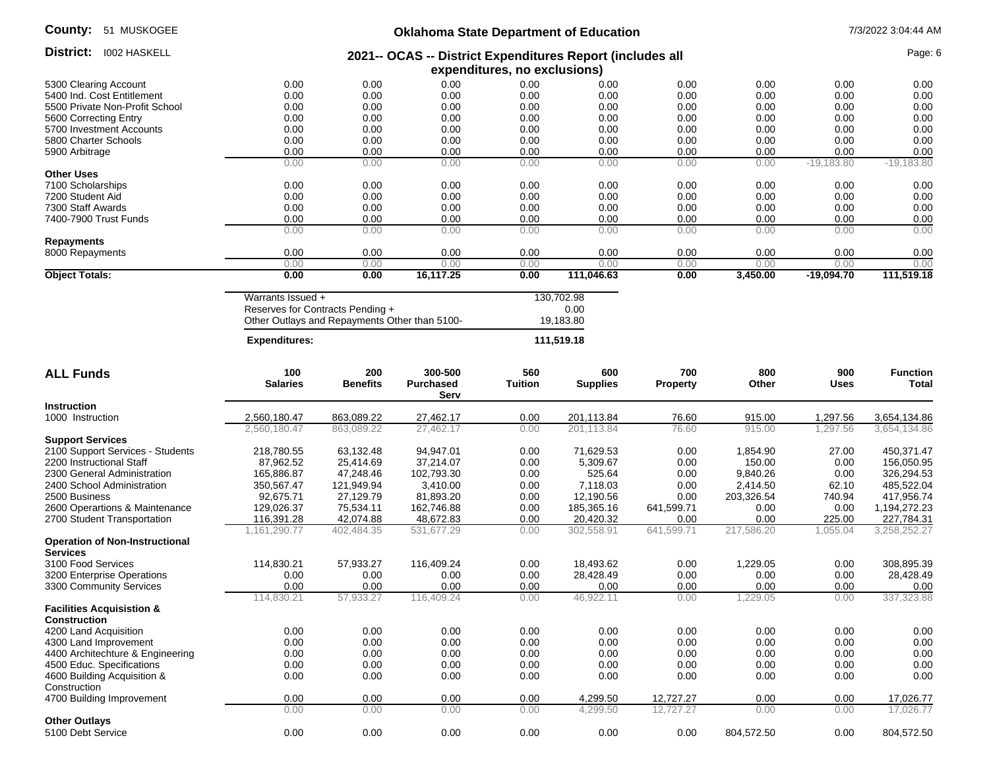| County:<br>51 MUSKOGEE                                      | <b>Oklahoma State Department of Education</b>                                             |                                                                                   |                                     |                       |                                 |                        |              |                    | 7/3/2022 3:04:44 AM             |
|-------------------------------------------------------------|-------------------------------------------------------------------------------------------|-----------------------------------------------------------------------------------|-------------------------------------|-----------------------|---------------------------------|------------------------|--------------|--------------------|---------------------------------|
| District:<br><b>I002 HASKELL</b>                            | 2021-- OCAS -- District Expenditures Report (includes all<br>expenditures, no exclusions) |                                                                                   |                                     |                       |                                 |                        |              |                    | Page: 6                         |
| 5300 Clearing Account                                       | 0.00                                                                                      | 0.00                                                                              | 0.00                                | 0.00                  | 0.00                            | 0.00                   | 0.00         | 0.00               | 0.00                            |
| 5400 Ind. Cost Entitlement                                  | 0.00                                                                                      | 0.00                                                                              | 0.00                                | 0.00                  | 0.00                            | 0.00                   | 0.00         | 0.00               | 0.00                            |
| 5500 Private Non-Profit School                              | 0.00                                                                                      | 0.00                                                                              | 0.00                                | 0.00                  | 0.00                            | 0.00                   | 0.00         | 0.00               | 0.00                            |
| 5600 Correcting Entry                                       | 0.00                                                                                      | 0.00                                                                              | 0.00                                | 0.00                  | 0.00                            | 0.00                   | 0.00         | 0.00               | 0.00                            |
| 5700 Investment Accounts                                    | 0.00                                                                                      | 0.00                                                                              | 0.00                                | 0.00                  | 0.00                            | 0.00                   | 0.00         | 0.00               | 0.00                            |
| 5800 Charter Schools                                        | 0.00                                                                                      | 0.00                                                                              | 0.00                                | 0.00                  | 0.00                            | 0.00                   | 0.00         | 0.00               | 0.00                            |
| 5900 Arbitrage                                              | 0.00                                                                                      | 0.00                                                                              | 0.00                                | 0.00                  | 0.00                            | 0.00                   | 0.00         | 0.00               | 0.00                            |
|                                                             | 0.00                                                                                      | 0.00                                                                              | 0.00                                | 0.00                  | 0.00                            | 0.00                   | 0.00         | $-19,183.80$       | $-19,183.80$                    |
| <b>Other Uses</b>                                           |                                                                                           |                                                                                   |                                     |                       |                                 |                        |              |                    |                                 |
| 7100 Scholarships                                           | 0.00                                                                                      | 0.00                                                                              | 0.00                                | 0.00                  | 0.00                            | 0.00                   | 0.00         | 0.00               | 0.00                            |
| 7200 Student Aid                                            | 0.00                                                                                      | 0.00                                                                              | 0.00                                | 0.00                  | 0.00                            | 0.00                   | 0.00         | 0.00               | 0.00                            |
| 7300 Staff Awards                                           | 0.00                                                                                      | 0.00                                                                              | 0.00                                | 0.00                  | 0.00                            | 0.00                   | 0.00         | 0.00               | 0.00                            |
| 7400-7900 Trust Funds                                       | 0.00                                                                                      | 0.00                                                                              | 0.00                                | 0.00                  | 0.00                            | 0.00                   | 0.00         | 0.00               | 0.00                            |
|                                                             | 0.00                                                                                      | 0.00                                                                              | 0.00                                | 0.00                  | 0.00                            | 0.00                   | 0.00         | 0.00               | 0.00                            |
| <b>Repayments</b>                                           |                                                                                           |                                                                                   |                                     |                       |                                 |                        |              |                    |                                 |
| 8000 Repayments                                             | 0.00                                                                                      | 0.00                                                                              | 0.00                                | 0.00                  | 0.00                            | 0.00                   | 0.00         | 0.00               | 0.00                            |
|                                                             | 0.00                                                                                      | 0.00                                                                              | 0.00                                | 0.00                  | 0.00                            | 0.00                   | 0.00         | 0.00               | 0.00                            |
| <b>Object Totals:</b>                                       | 0.00                                                                                      | 0.00                                                                              | 16,117.25                           | 0.00                  | 111,046.63                      | 0.00                   | 3,450.00     | $-19,094.70$       | 111,519.18                      |
|                                                             |                                                                                           |                                                                                   |                                     |                       |                                 |                        |              |                    |                                 |
|                                                             | Warrants Issued +                                                                         | Reserves for Contracts Pending +<br>Other Outlays and Repayments Other than 5100- |                                     |                       | 130,702.98<br>0.00<br>19,183.80 |                        |              |                    |                                 |
|                                                             | <b>Expenditures:</b>                                                                      |                                                                                   |                                     |                       | 111,519.18                      |                        |              |                    |                                 |
| <b>ALL Funds</b>                                            | 100<br><b>Salaries</b>                                                                    | 200<br><b>Benefits</b>                                                            | 300-500<br><b>Purchased</b><br>Serv | 560<br><b>Tuition</b> | 600<br><b>Supplies</b>          | 700<br><b>Property</b> | 800<br>Other | 900<br><b>Uses</b> | <b>Function</b><br><b>Total</b> |
| <b>Instruction</b>                                          |                                                                                           |                                                                                   |                                     |                       |                                 |                        |              |                    |                                 |
| 1000 Instruction                                            | 2,560,180.47                                                                              | 863,089.22                                                                        | 27,462.17                           | 0.00                  | 201,113.84                      | 76.60                  | 915.00       | 1,297.56           | 3,654,134.86                    |
|                                                             | 2,560,180.47                                                                              | 863,089.22                                                                        | 27,462.17                           | 0.00                  | 201,113.84                      | 76.60                  | 915.00       | 1,297.56           | 3,654,134.86                    |
| <b>Support Services</b>                                     |                                                                                           |                                                                                   |                                     |                       |                                 |                        |              |                    |                                 |
|                                                             | 218,780.55                                                                                | 63,132.48                                                                         | 94,947.01                           | 0.00                  |                                 | 0.00                   | 1,854.90     | 27.00              | 450,371.47                      |
| 2100 Support Services - Students                            |                                                                                           |                                                                                   |                                     |                       | 71,629.53                       |                        |              |                    |                                 |
| 2200 Instructional Staff                                    | 87,962.52                                                                                 | 25,414.69                                                                         | 37,214.07                           | 0.00                  | 5,309.67                        | 0.00                   | 150.00       | 0.00               | 156,050.95                      |
| 2300 General Administration                                 | 165,886.87                                                                                | 47,248.46                                                                         | 102,793.30                          | 0.00                  | 525.64                          | 0.00                   | 9,840.26     | 0.00               | 326,294.53                      |
| 2400 School Administration                                  | 350,567.47                                                                                | 121,949.94                                                                        | 3,410.00                            | 0.00                  | 7,118.03                        | 0.00                   | 2,414.50     | 62.10              | 485,522.04                      |
| 2500 Business                                               | 92,675.71                                                                                 | 27,129.79                                                                         | 81,893.20                           | 0.00                  | 12,190.56                       | 0.00                   | 203,326.54   | 740.94             | 417,956.74                      |
| 2600 Operartions & Maintenance                              | 129,026.37                                                                                | 75,534.11                                                                         | 162,746.88                          | 0.00                  | 185,365.16                      | 641,599.71             | 0.00         | 0.00               | 1,194,272.23                    |
| 2700 Student Transportation                                 | 116,391.28                                                                                | 42,074.88                                                                         | 48,672.83                           | 0.00                  | 20,420.32                       | 0.00                   | 0.00         | 225.00             | 227,784.31                      |
| <b>Operation of Non-Instructional</b><br><b>Services</b>    | 1,161,290.77                                                                              | 402,484.35                                                                        | 531,677.29                          | 0.00                  | 302,558.91                      | 641,599.71             | 217,586.20   | 1,055.04           | 3,258,252.27                    |
| 3100 Food Services                                          | 114,830.21                                                                                | 57,933.27                                                                         | 116,409.24                          | 0.00                  | 18,493.62                       | 0.00                   | 1,229.05     | 0.00               | 308,895.39                      |
| 3200 Enterprise Operations                                  | 0.00                                                                                      | 0.00                                                                              | 0.00                                | 0.00                  | 28,428.49                       | 0.00                   | 0.00         | 0.00               | 28,428.49                       |
| 3300 Community Services                                     | 0.00                                                                                      | 0.00                                                                              | 0.00                                | 0.00                  | 0.00                            | 0.00                   | 0.00         | 0.00               | 0.00                            |
|                                                             | 114,830.21                                                                                | 57,933.27                                                                         | 116,409.24                          | 0.00                  | 46,922.11                       | 0.00                   | 1,229.05     | 0.00               | 337,323.88                      |
| <b>Facilities Acquisistion &amp;</b><br><b>Construction</b> |                                                                                           |                                                                                   |                                     |                       |                                 |                        |              |                    |                                 |
| 4200 Land Acquisition                                       | 0.00                                                                                      | 0.00                                                                              | 0.00                                | 0.00                  | 0.00                            | 0.00                   | 0.00         | 0.00               | 0.00                            |
| 4300 Land Improvement                                       | 0.00                                                                                      | 0.00                                                                              | 0.00                                | 0.00                  | 0.00                            | 0.00                   | 0.00         | 0.00               | 0.00                            |
| 4400 Architechture & Engineering                            | 0.00                                                                                      | 0.00                                                                              | 0.00                                | 0.00                  | 0.00                            | 0.00                   | 0.00         | 0.00               | 0.00                            |
| 4500 Educ. Specifications                                   | 0.00                                                                                      | 0.00                                                                              | 0.00                                | 0.00                  | 0.00                            | 0.00                   | 0.00         | 0.00               | 0.00                            |
| 4600 Building Acquisition &                                 | 0.00                                                                                      | 0.00                                                                              | 0.00                                | 0.00                  | 0.00                            | 0.00                   | 0.00         | 0.00               | 0.00                            |
| Construction                                                |                                                                                           |                                                                                   |                                     |                       |                                 |                        |              |                    |                                 |
|                                                             |                                                                                           |                                                                                   |                                     |                       |                                 |                        |              |                    |                                 |
| 4700 Building Improvement                                   | 0.00                                                                                      | 0.00                                                                              | 0.00                                | 0.00                  | 4,299.50                        | 12,727.27              | 0.00         | 0.00               | 17,026.77                       |
| <b>Other Outlays</b>                                        | 0.00                                                                                      | 0.00                                                                              | 0.00                                | 0.00                  | 4,299.50                        | 12,727.27              | 0.00         | 0.00               | 17,026.77                       |
| 5100 Debt Service                                           | 0.00                                                                                      | 0.00                                                                              | 0.00                                | 0.00                  | 0.00                            |                        | 804,572.50   |                    | 804,572.50                      |
|                                                             |                                                                                           |                                                                                   |                                     |                       |                                 | 0.00                   |              | 0.00               |                                 |